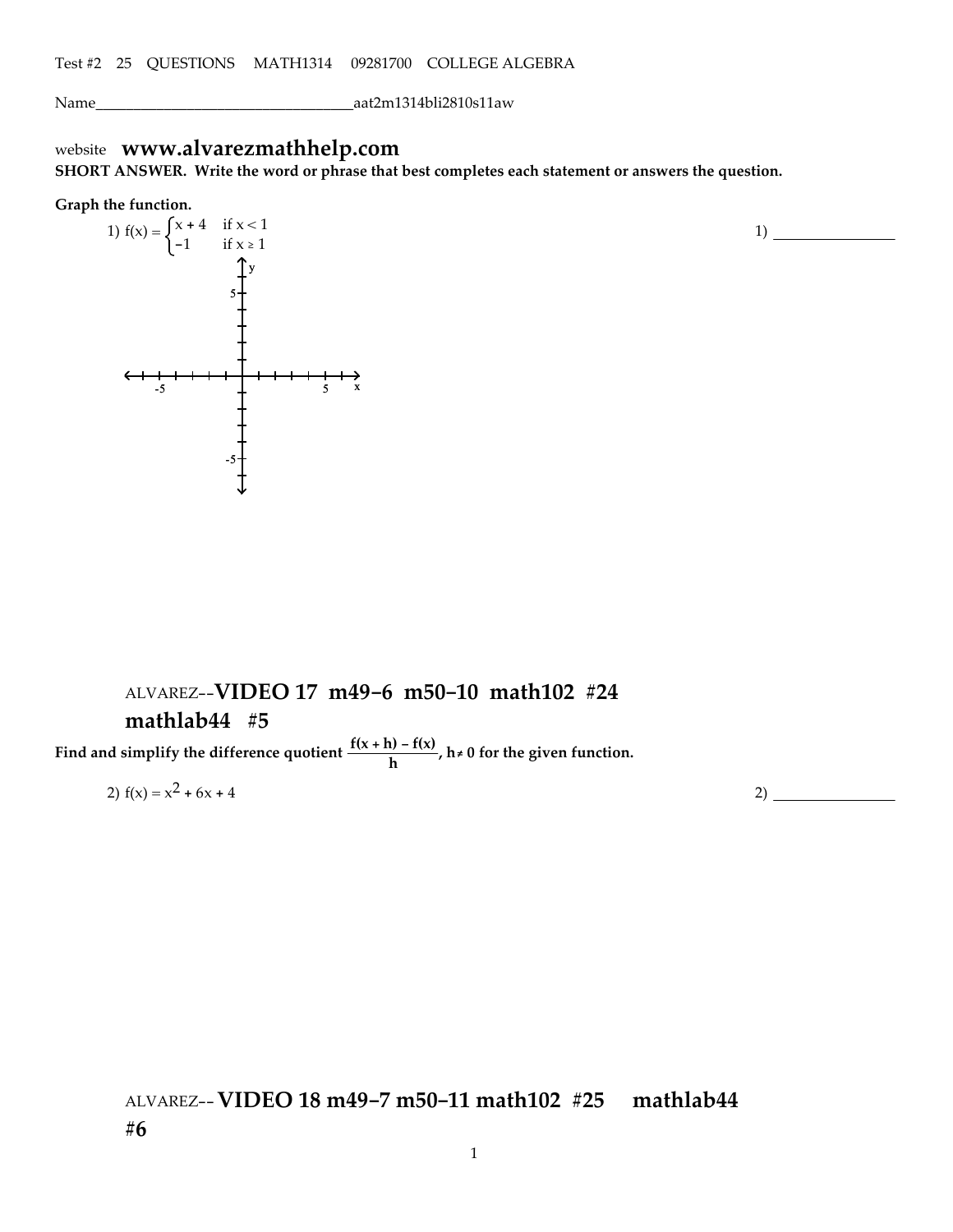Name\_\_\_\_\_\_\_\_\_\_\_\_\_\_\_\_\_\_\_\_\_\_\_\_\_\_\_\_\_\_\_\_\_\_aat2m1314bli2810s11aw

# website **www.alvarezmathhelp.com**

**SHORT ANSWER. Write the word or phrase that best completes each statement or answers the question.**

#### **Graph the function.**



## ALVAREZ--**VIDEO 17 m49-6 m50-10 math102 #24 mathlab44 #5**

**Find** and simplify the difference quotient  $\frac{f(x+h) - f(x)}{h}$ ,  $h \neq 0$  for the given function.

2)  $f(x) = x^2 + 6x + 4$  2)

1)

### ALVAREZ--**VIDEO 18 m49-7 m50-11 math102 #25 mathlab44 #6**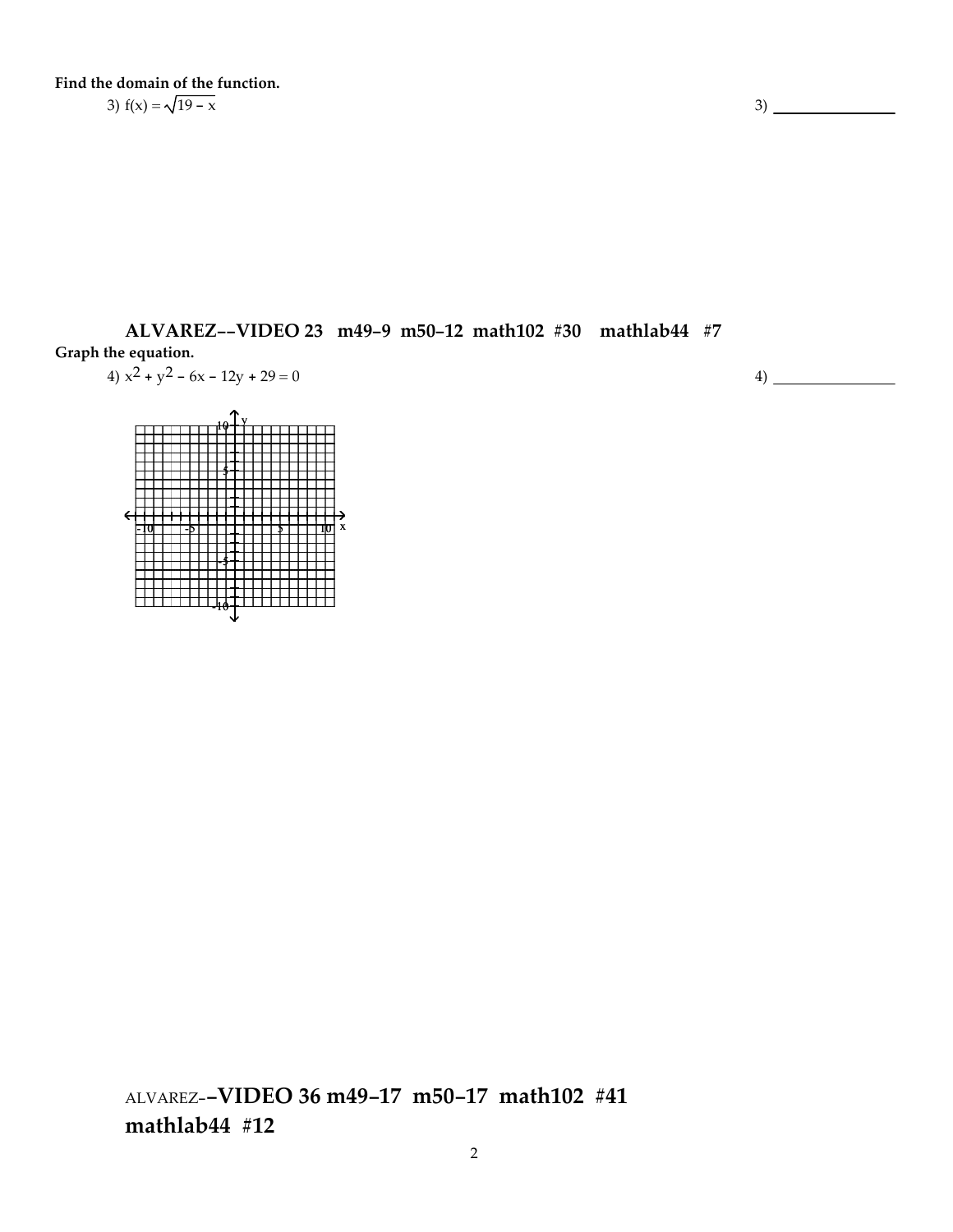**Find the domain of the function.** 3)  $f(x) = \sqrt{19 - x}$  3)

**ALVAREZ--VIDEO 23 m49-9 m50-12 math102 #30 mathlab44 #7 Graph the equation.**

$$
4) x2 + y2 - 6x - 12y + 29 = 0
$$

<u>-†o| ┼ ┼ ┼ ╊ ┼ ┼ ┼ ╀ ┼ ┼ ┼ ┼ ╅ ┼ ┼ ╅ ┼ ╅ ┼ ╁ ┪</u>ठ] ×  $10 + Y$ 5 -5 -10

ALVAREZ-**-VIDEO 36 m49-17 m50-17 math102 #41 mathlab44 #12**

4)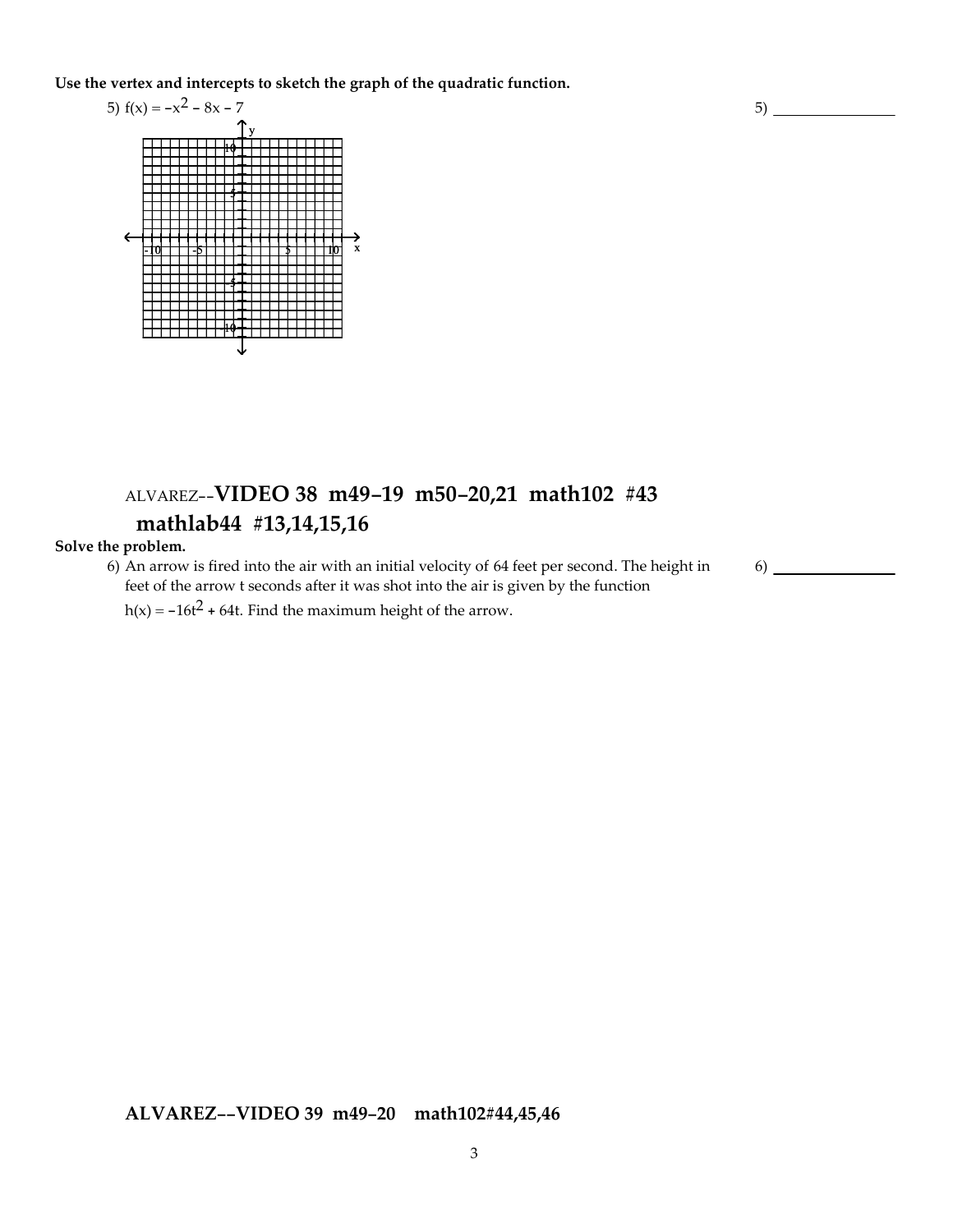**Use the vertex and intercepts to sketch the graph of the quadratic function.**



# ALVAREZ--**VIDEO 38 m49-19 m50-20,21 math102 #43 mathlab44 #13,14,15,16**

#### **Solve the problem.**

6) An arrow is fired into the air with an initial velocity of 64 feet per second. The height in feet of the arrow t seconds after it was shot into the air is given by the function

h(x) =  $-16t^2 + 64t$ . Find the maximum height of the arrow.

**ALVAREZ--VIDEO 39 m49-20 math102#44,45,46**

3

6)

5)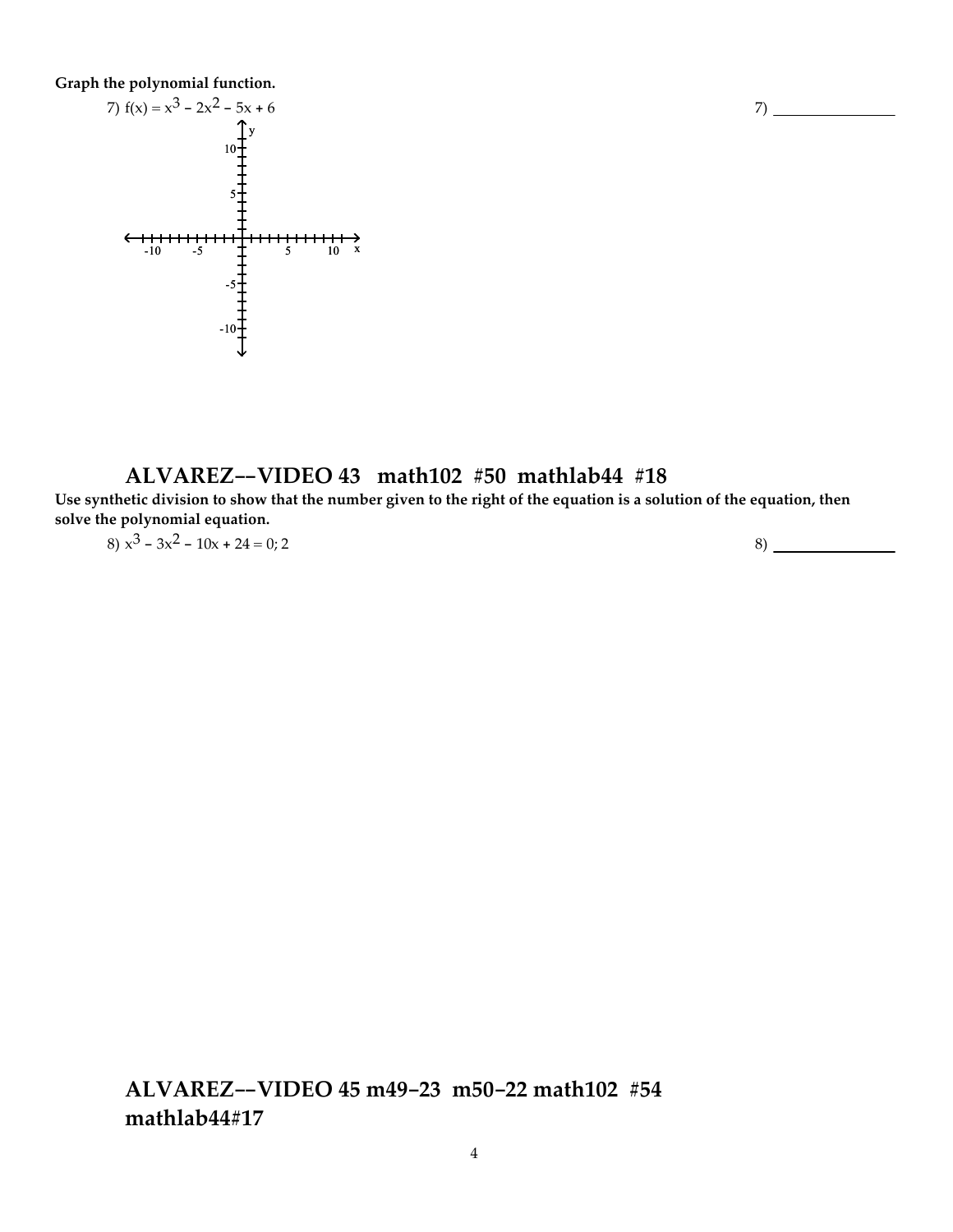**Graph the polynomial function.**



### **ALVAREZ--VIDEO 43 math102 #50 mathlab44 #18**

Use synthetic division to show that the number given to the right of the equation is a solution of the equation, then **solve the polynomial equation.**

7)

 $8)$   $x^3 - 3x^2 - 10x + 24 = 0; 2$  8)

**ALVAREZ--VIDEO 45 m49-23 m50-22 math102 #54 mathlab44#17**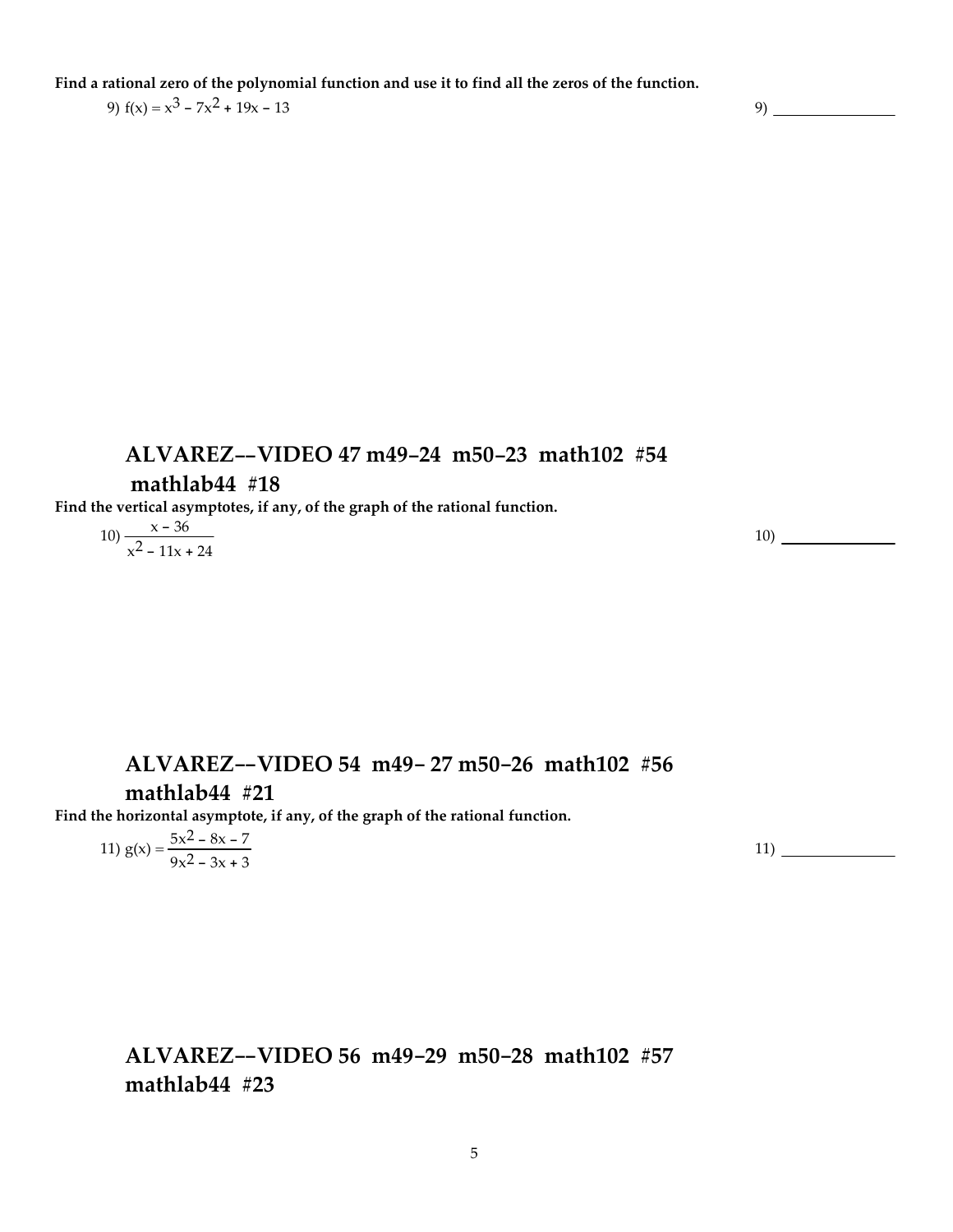Find a rational zero of the polynomial function and use it to find all the zeros of the function.

9)  $f(x) = x^3 - 7x^2 + 19x - 13$  9)

#### **ALVAREZ--VIDEO 47 m49-24 m50-23 math102 #54**

#### **mathlab44 #18**

**Find the vertical asymptotes, if any, of the graph of the rational function.**

$$
10) \frac{x - 36}{x^2 - 11x + 24}
$$

10)

## **ALVAREZ--VIDEO 54 m49- 27 m50-26 math102 #56**

### **mathlab44 #21**

**Find the horizontal asymptote, if any, of the graph of the rational function.**

11) 
$$
g(x) = \frac{5x^2 - 8x - 7}{9x^2 - 3x + 3}
$$

11)

**ALVAREZ--VIDEO 56 m49-29 m50-28 math102 #57 mathlab44 #23**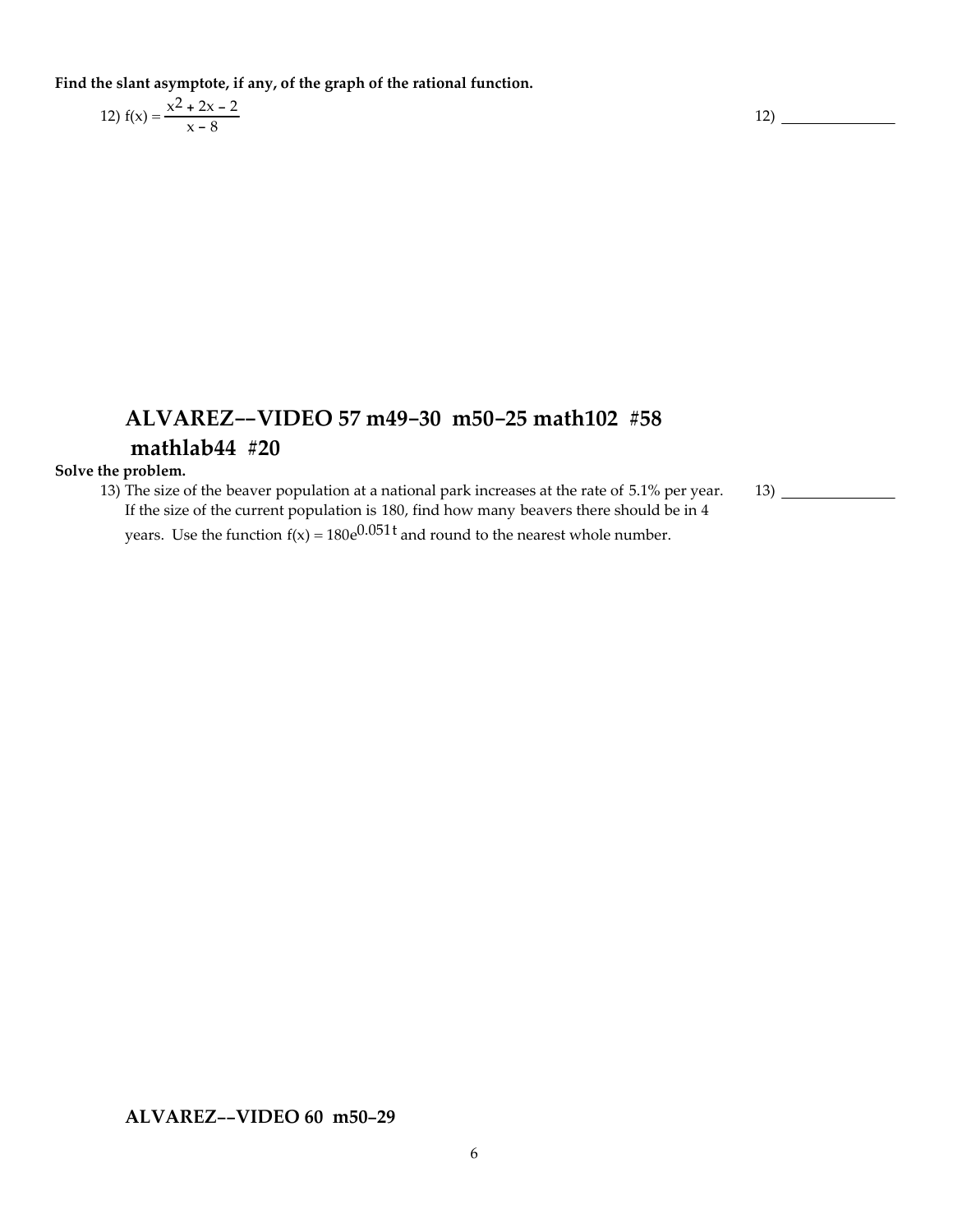**Find the slant asymptote, if any, of the graph of the rational function.**

12) 
$$
f(x) = \frac{x^2 + 2x - 2}{x - 8}
$$

# **ALVAREZ--VIDEO 57 m49-30 m50-25 math102 #58 mathlab44 #20**

#### **Solve the problem.**

13) The size of the beaver population at a national park increases at the rate of 5.1% per year. 13) If the size of the current population is 180, find how many beavers there should be in 4 years. Use the function  $f(x) = 180e^{0.051t}$  and round to the nearest whole number.

**ALVAREZ--VIDEO 60 m50-29**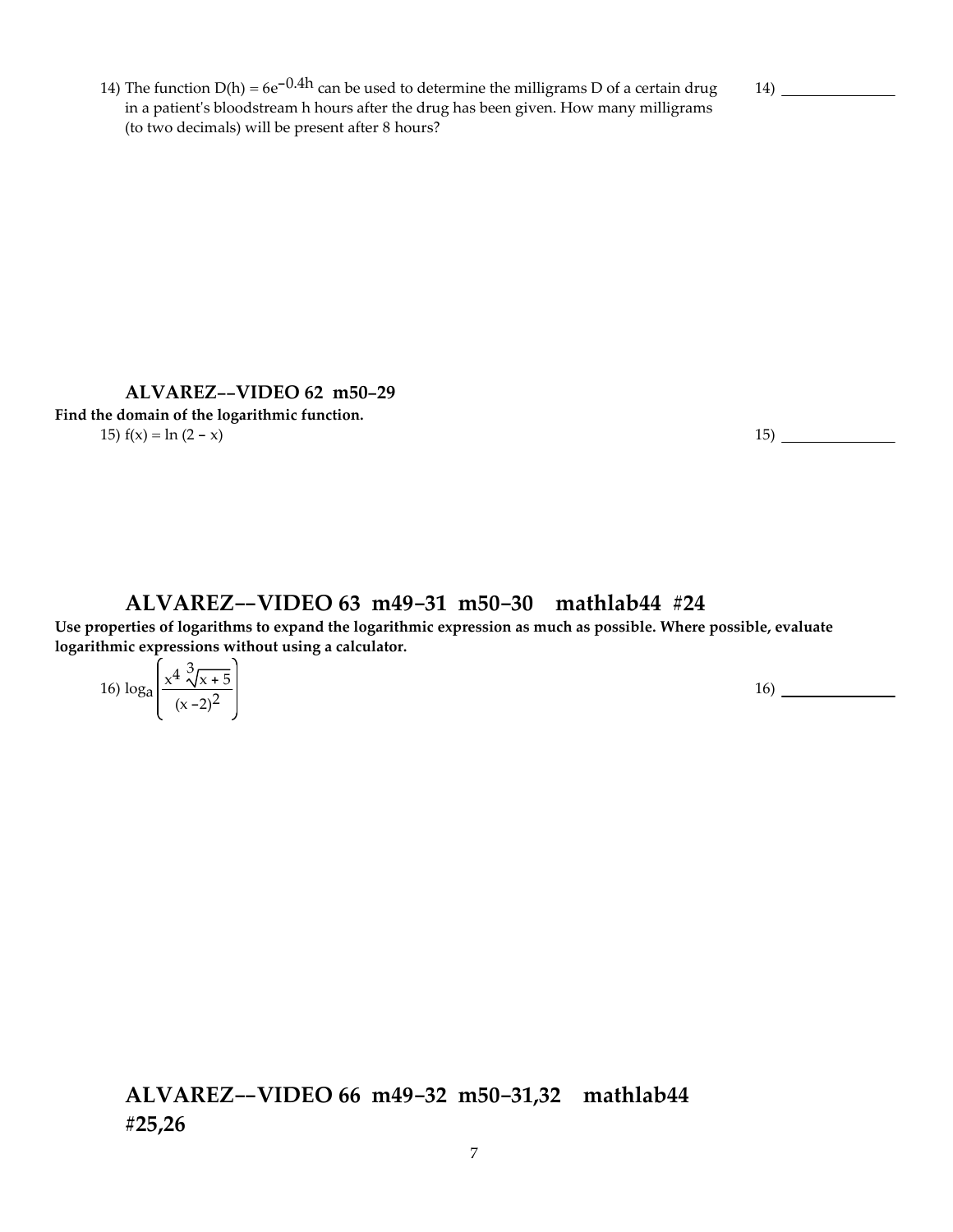14) The function  $D(h) = 6e^{-0.4h}$  can be used to determine the milligrams D of a certain drug in a patientʹs bloodstream h hours after the drug has been given. How many milligrams (to two decimals) will be present after 8 hours?

14)

**ALVAREZ--VIDEO 62 m50-29 Find the domain of the logarithmic function.** 15)  $f(x) = \ln(2 - x)$  15)

#### **ALVAREZ--VIDEO 63 m49-31 m50-30 mathlab44 #24**

**Use properties of logarithms to expand the logarithmic expression as much as possible. Where possible, evaluate logarithmic expressions without using a calculator.**

16) 
$$
\log_{a} \left( \frac{x^4 \sqrt[3]{x+5}}{(x-2)^2} \right)
$$

### **ALVAREZ--VIDEO 66 m49-32 m50-31,32 mathlab44 #25,26**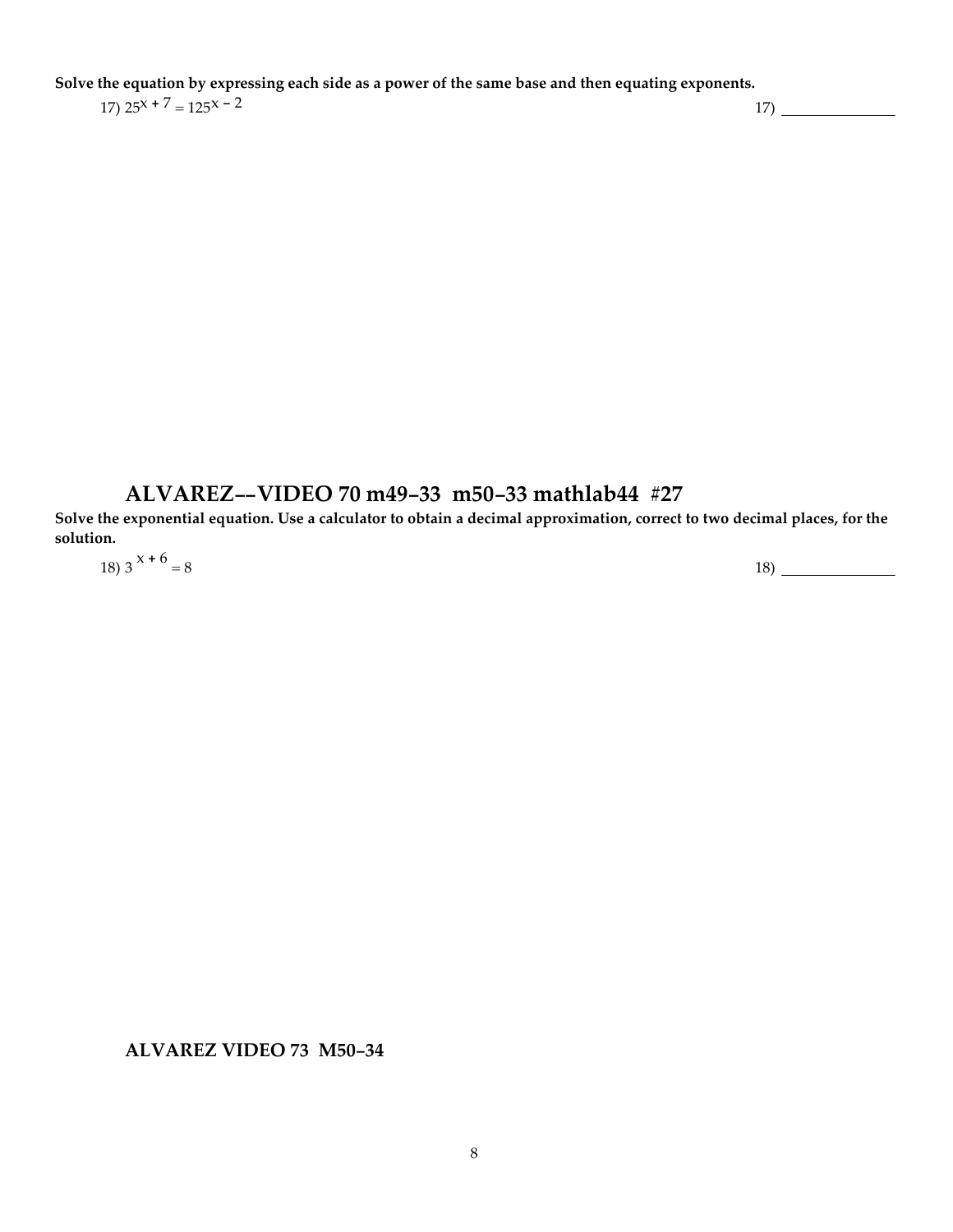Solve the equation by expressing each side as a power of the same base and then equating exponents.

 $17) \hspace{0.5mm} 25^{x} + 7 = 125^{x} - 2$  17)

### **ALVAREZ--VIDEO 70 m49-33 m50-33 mathlab44 #27**

Solve the exponential equation. Use a calculator to obtain a decimal approximation, correct to two decimal places, for the **solution.** 18) 3 <sup>x</sup> <sup>+</sup> <sup>6</sup> <sup>=</sup> <sup>8</sup> 18)

**ALVAREZ VIDEO 73 M50-34**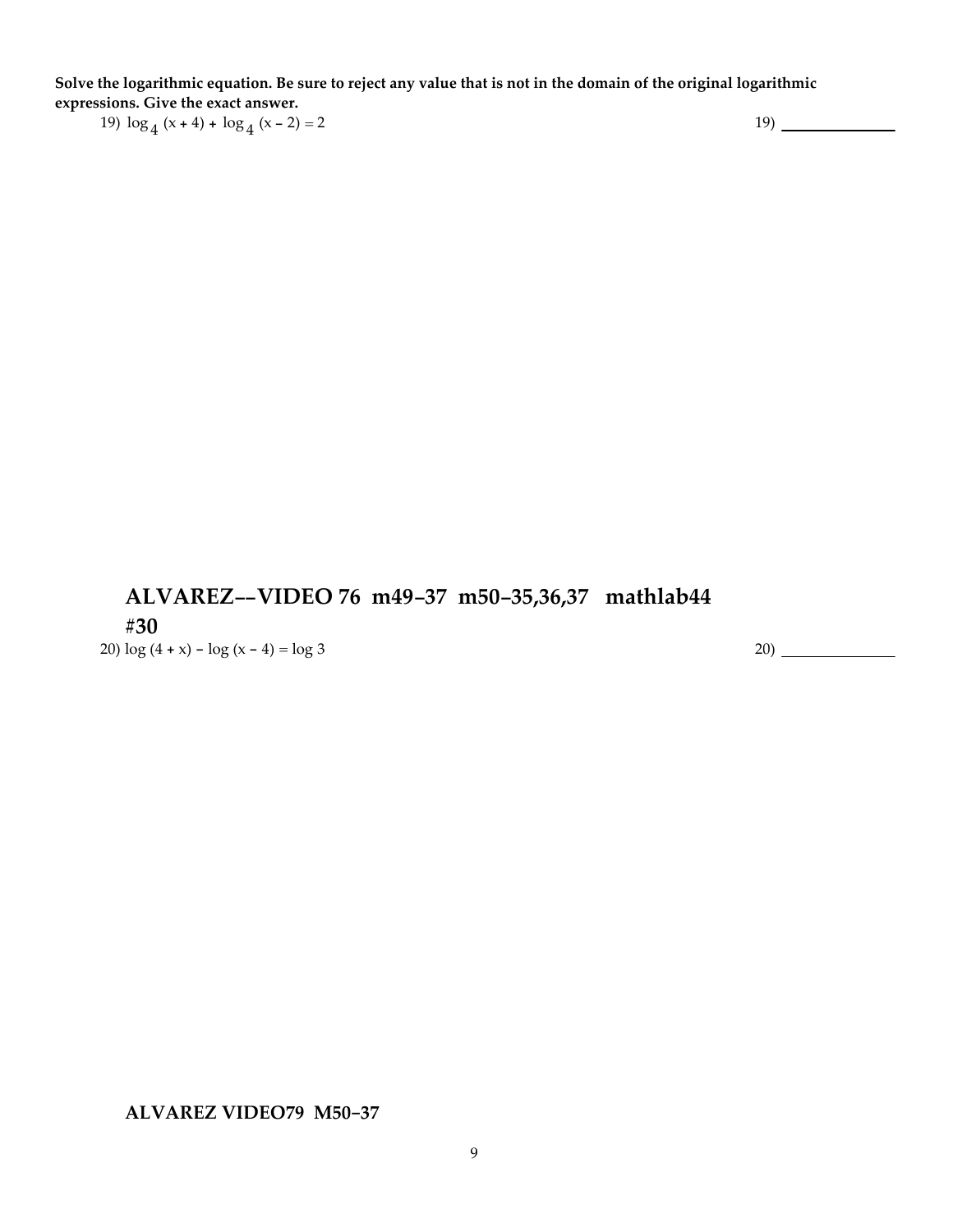Solve the logarithmic equation. Be sure to reject any value that is not in the domain of the original logarithmic **expressions. Give the exact answer.** 19)  $\log_4 (x+4) + \log_4 (x-2) = 2$  19)

**ALVAREZ--VIDEO 76 m49-37 m50-35,36,37 mathlab44 #30**

20)  $\log (4 + x) - \log (x - 4) = \log 3$  20)

**ALVAREZ VIDEO79 M50-37**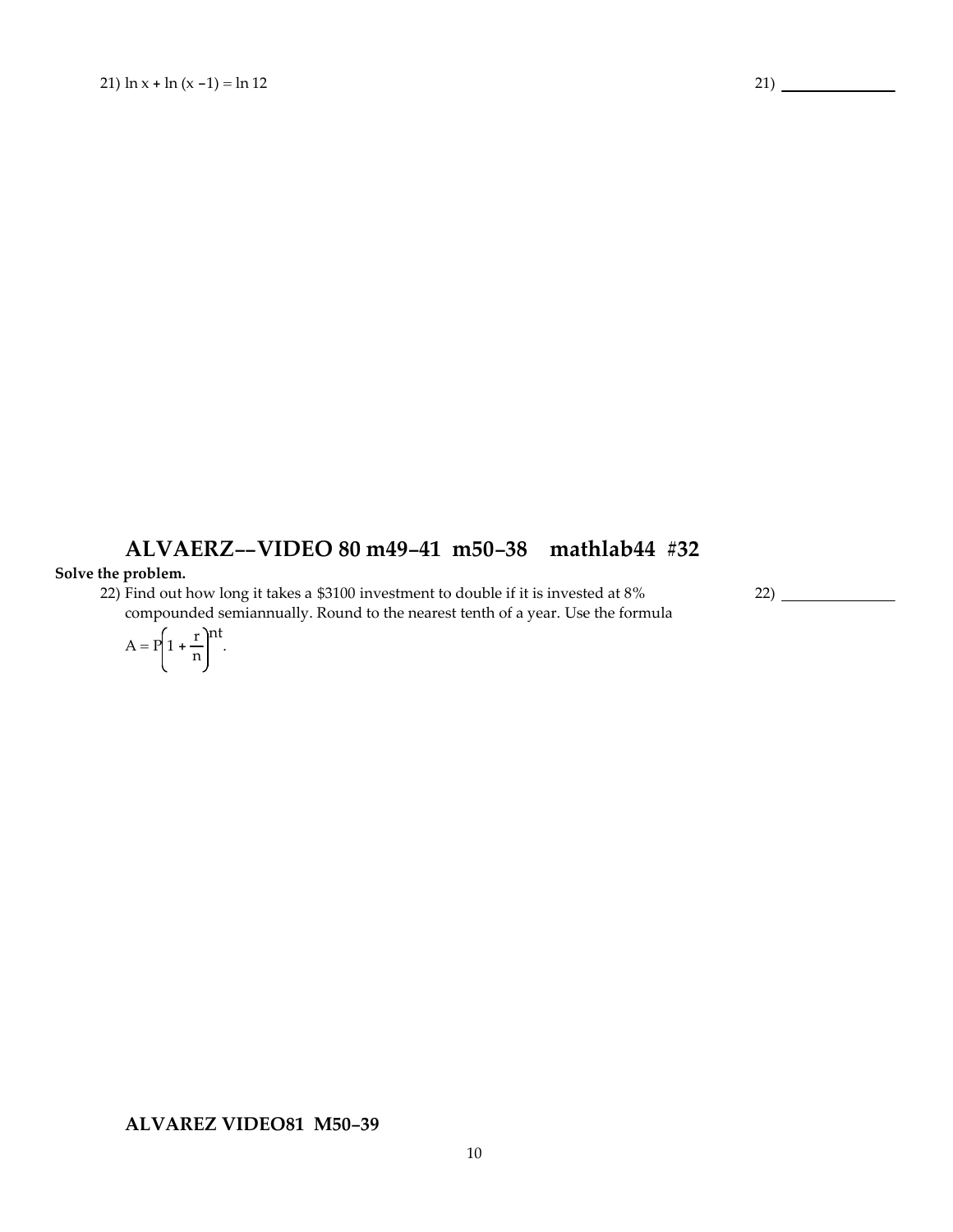# **ALVAERZ--VIDEO 80 m49-41 m50-38 mathlab44 #32**

#### **Solve the problem.**

22) Find out how long it takes a \$3100 investment to double if it is invested at 8% compounded semiannually. Round to the nearest tenth of a year. Use the formula 22)

$$
A = P\left(1 + \frac{r}{n}\right)^{nt}.
$$

**ALVAREZ VIDEO81 M50-39**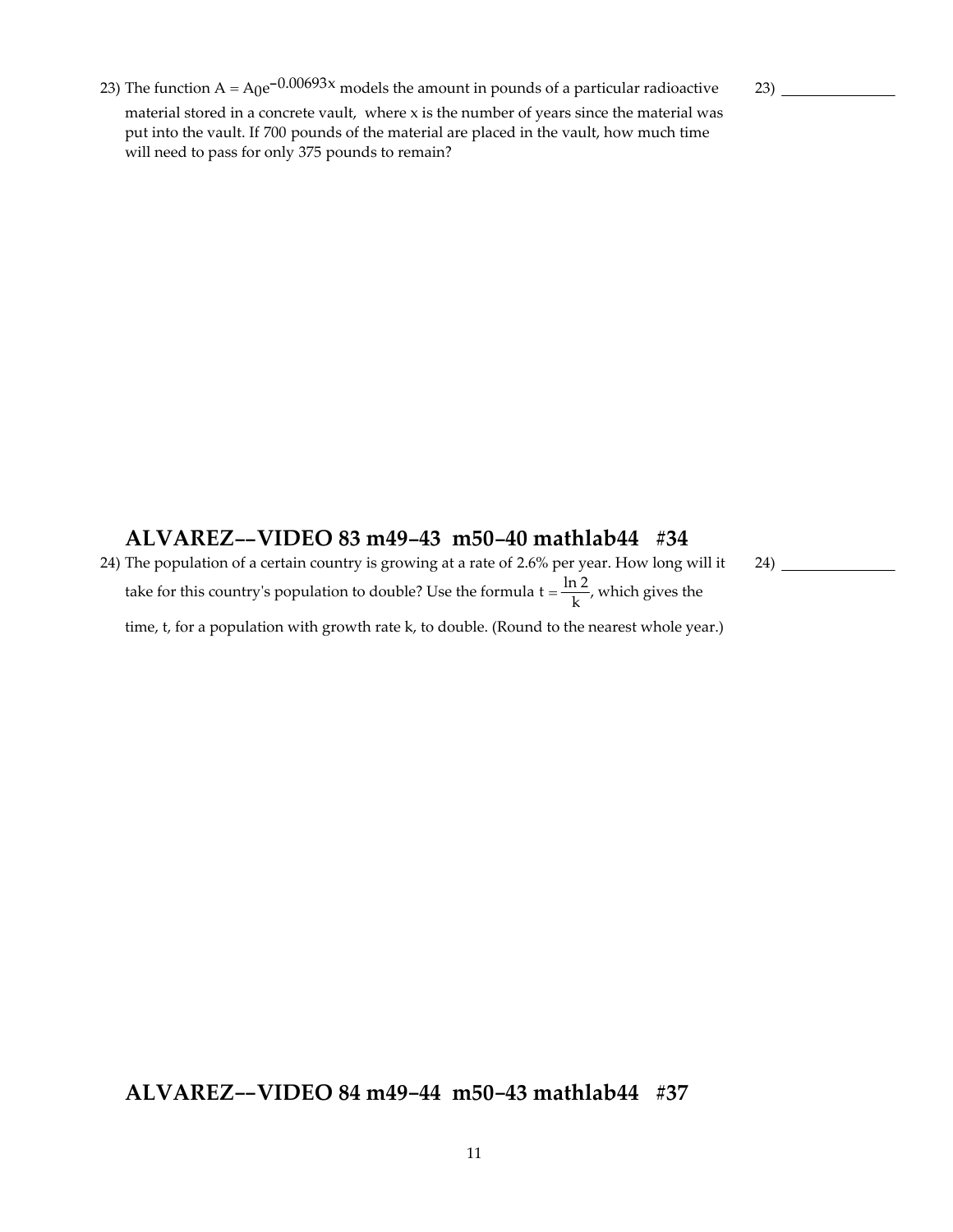23) The function  $A = A_0e^{-0.00693x}$  models the amount in pounds of a particular radioactive material stored in a concrete vault, where x is the number of years since the material was put into the vault. If 700 pounds of the material are placed in the vault, how much time will need to pass for only 375 pounds to remain?

23)

24)

### **ALVAREZ--VIDEO 83 m49-43 m50-40 mathlab44 #34**

24) The population of a certain country is growing at a rate of 2.6% per year. How long will it take for this country's population to double? Use the formula  $t = \frac{\ln 2}{k}$ , which gives the time, t, for a population with growth rate k, to double. (Round to the nearest whole year.)

### **ALVAREZ--VIDEO 84 m49-44 m50-43 mathlab44 #37**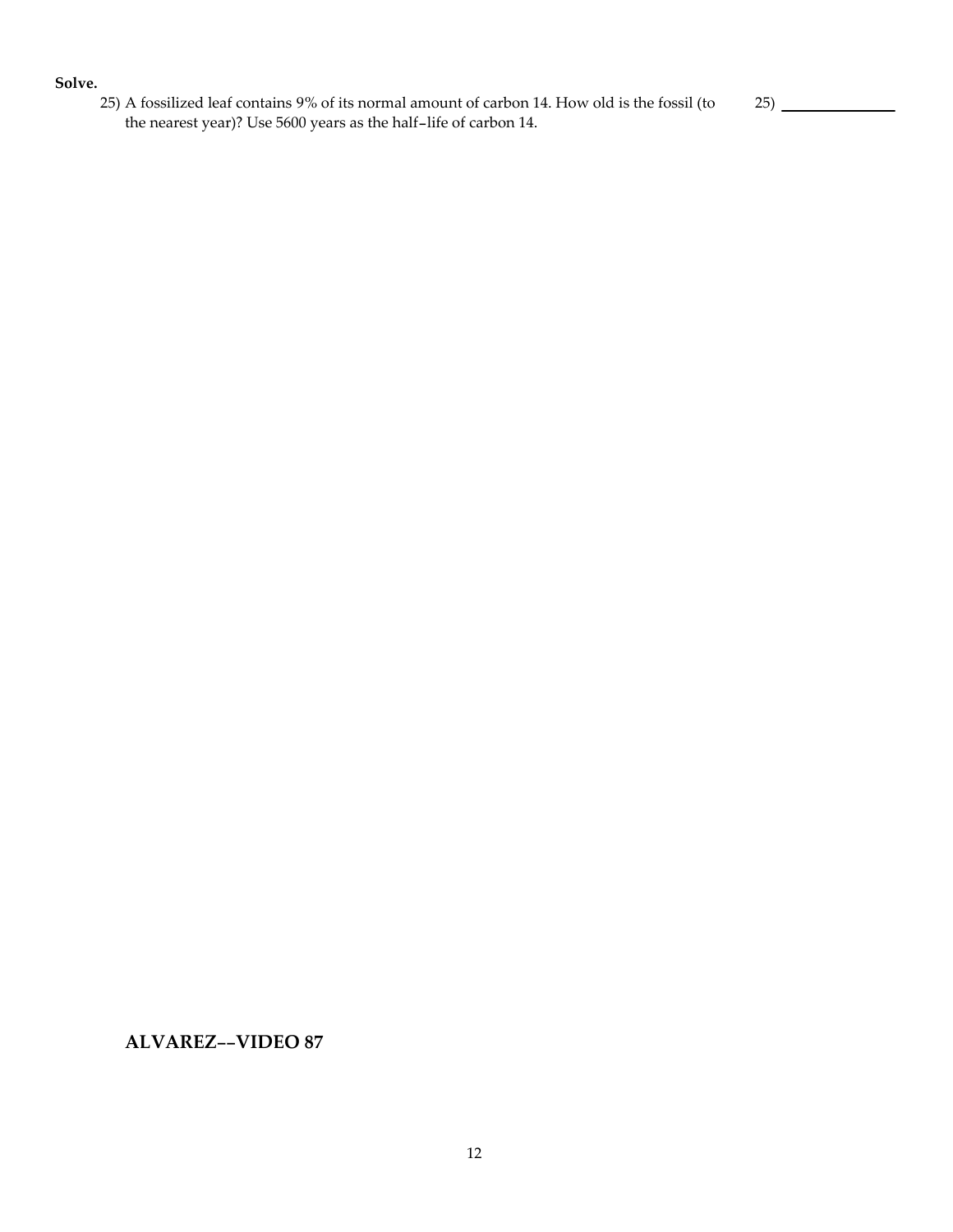#### **Solve.**

25) A fossilized leaf contains 9% of its normal amount of carbon 14. How old is the fossil (to the nearest year)? Use 5600 years as the half-life of carbon 14.

25)

**ALVAREZ--VIDEO 87**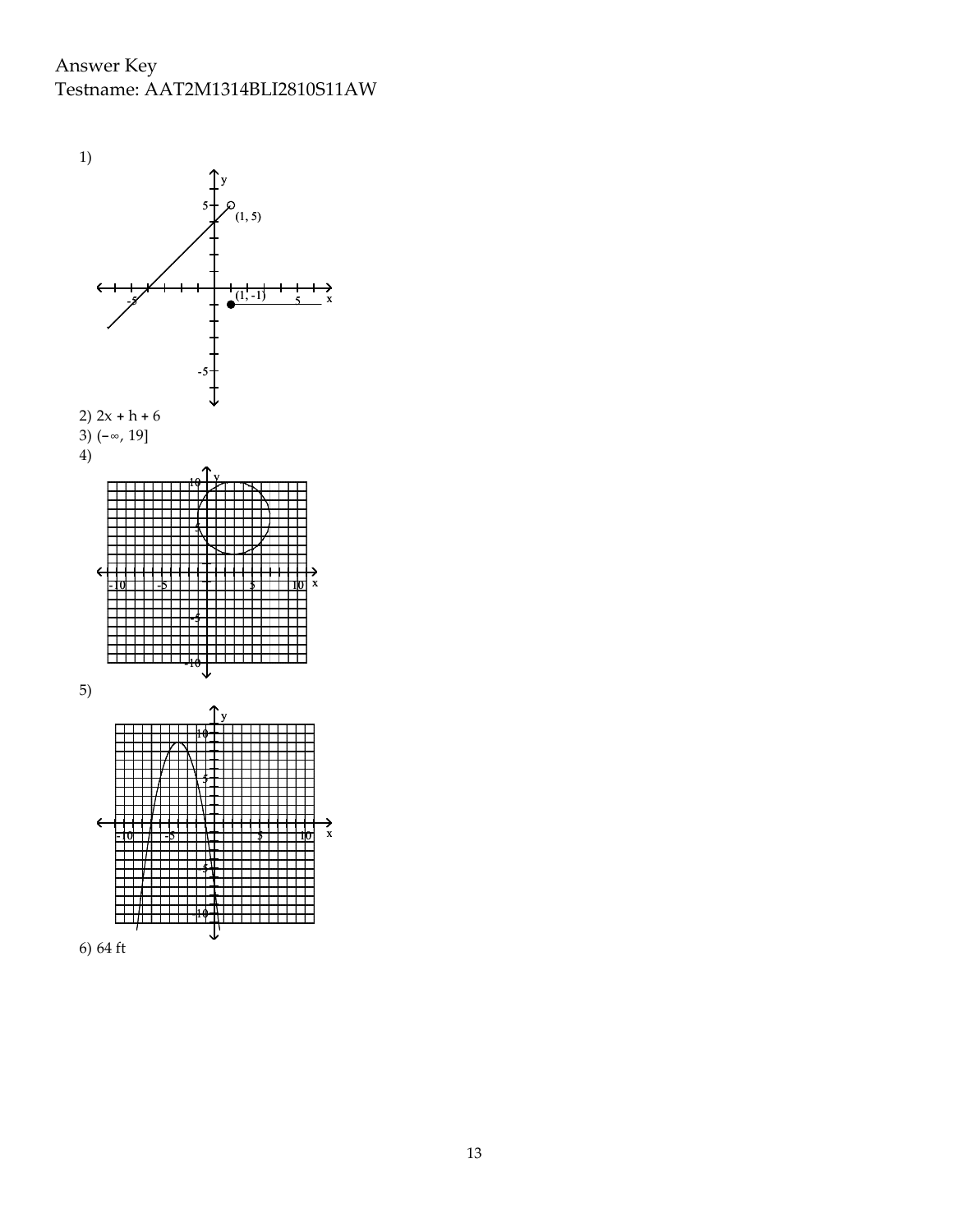Answer Key Testname: AAT2M1314BLI2810S11AW